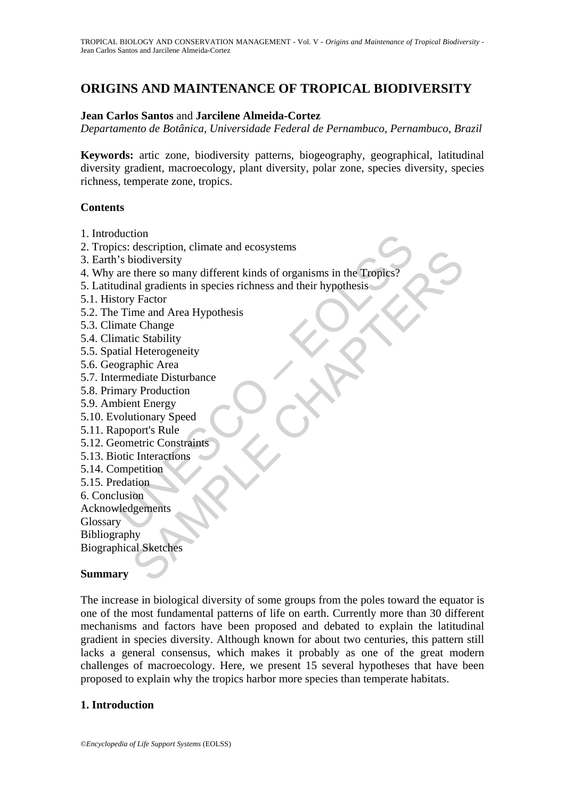# **ORIGINS AND MAINTENANCE OF TROPICAL BIODIVERSITY**

### **Jean Carlos Santos** and **Jarcilene Almeida-Cortez**

*Departamento de Botânica, Universidade Federal de Pernambuco, Pernambuco, Brazil* 

**Keywords:** artic zone, biodiversity patterns, biogeography, geographical, latitudinal diversity gradient, macroecology, plant diversity, polar zone, species diversity, species richness, temperate zone, tropics.

### **Contents**

- 1. Introduction
- 2. Tropics: description, climate and ecosystems
- 3. Earth's biodiversity
- States in the and ecosystems<br>
Secret in the and ecosystems<br>
Solidiversity<br>
are there so many different kinds of organisms in the Tropics?<br>
Adinal gradients in species richness and their hypothesis<br>
tory Factor<br>
Time and Ar examplement<br>
and gradients in species richness and their hypothesis<br>
there so many different kinds of organisms in the Tropies?<br>
Factor<br>
and gradients in species richness and their hypothesis<br>
are change<br>
ince Stability<br>
a 4. Why are there so many different kinds of organisms in the Tropics?
- 5. Latitudinal gradients in species richness and their hypothesis
- 5.1. History Factor
- 5.2. The Time and Area Hypothesis
- 5.3. Climate Change
- 5.4. Climatic Stability
- 5.5. Spatial Heterogeneity
- 5.6. Geographic Area
- 5.7. Intermediate Disturbance
- 5.8. Primary Production
- 5.9. Ambient Energy
- 5.10. Evolutionary Speed
- 5.11. Rapoport's Rule
- 5.12. Geometric Constraints
- 5.13. Biotic Interactions
- 5.14. Competition
- 5.15. Predation
- 6. Conclusion
- Acknowledgements

Glossary

Bibliography

Biographical Sketches

### **Summary**

The increase in biological diversity of some groups from the poles toward the equator is one of the most fundamental patterns of life on earth. Currently more than 30 different mechanisms and factors have been proposed and debated to explain the latitudinal gradient in species diversity. Although known for about two centuries, this pattern still lacks a general consensus, which makes it probably as one of the great modern challenges of macroecology. Here, we present 15 several hypotheses that have been proposed to explain why the tropics harbor more species than temperate habitats.

## **1. Introduction**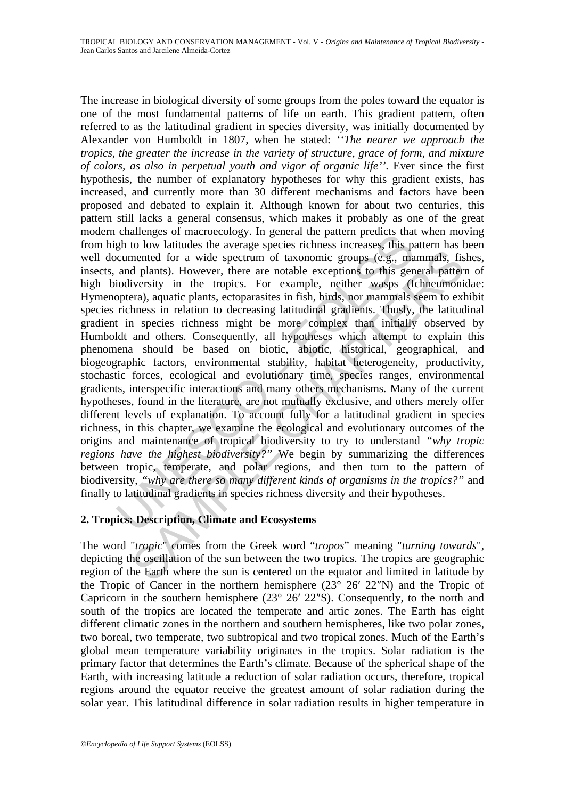channely or indetectology. In general the pattern preducts that<br>the look latitudes the average species richness increases, this per<br>cumented for a wide spectrum of taxonomic groups (e.g., ma<br>and plants). However, there ar mented for a wide spectrum of taxonomic groups (e.g., mammals, fist plants). However, there are notable exceptions to this general pattern<br>viersity in the tropics. For example, neither was general pattern<br>viersity in the The increase in biological diversity of some groups from the poles toward the equator is one of the most fundamental patterns of life on earth. This gradient pattern, often referred to as the latitudinal gradient in species diversity, was initially documented by Alexander von Humboldt in 1807, when he stated: *''The nearer we approach the tropics, the greater the increase in the variety of structure, grace of form, and mixture of colors, as also in perpetual youth and vigor of organic life''*. Ever since the first hypothesis, the number of explanatory hypotheses for why this gradient exists, has increased, and currently more than 30 different mechanisms and factors have been proposed and debated to explain it. Although known for about two centuries, this pattern still lacks a general consensus, which makes it probably as one of the great modern challenges of macroecology. In general the pattern predicts that when moving from high to low latitudes the average species richness increases, this pattern has been well documented for a wide spectrum of taxonomic groups (e.g., mammals, fishes, insects, and plants). However, there are notable exceptions to this general pattern of high biodiversity in the tropics. For example, neither wasps (Ichneumonidae: Hymenoptera), aquatic plants, ectoparasites in fish, birds, nor mammals seem to exhibit species richness in relation to decreasing latitudinal gradients. Thusly, the latitudinal gradient in species richness might be more complex than initially observed by Humboldt and others. Consequently, all hypotheses which attempt to explain this phenomena should be based on biotic, abiotic, historical, geographical, and biogeographic factors, environmental stability, habitat heterogeneity, productivity, stochastic forces, ecological and evolutionary time, species ranges, environmental gradients, interspecific interactions and many others mechanisms. Many of the current hypotheses, found in the literature, are not mutually exclusive, and others merely offer different levels of explanation. To account fully for a latitudinal gradient in species richness, in this chapter, we examine the ecological and evolutionary outcomes of the origins and maintenance of tropical biodiversity to try to understand *"why tropic regions have the highest biodiversity?"* We begin by summarizing the differences between tropic, temperate, and polar regions, and then turn to the pattern of biodiversity, *"why are there so many different kinds of organisms in the tropics?"* and finally to latitudinal gradients in species richness diversity and their hypotheses.

# **2. Tropics: Description, Climate and Ecosystems**

The word "*tropic*" comes from the Greek word "*tropos*" meaning "*turning towards*", depicting the oscillation of the sun between the two tropics. The tropics are geographic region of the Earth where the sun is centered on the equator and limited in latitude by the Tropic of Cancer in the northern hemisphere (23° 26′ 22″N) and the Tropic of Capricorn in the southern hemisphere (23° 26′ 22″S). Consequently, to the north and south of the tropics are located the temperate and artic zones. The Earth has eight different climatic zones in the northern and southern hemispheres, like two polar zones, two boreal, two temperate, two subtropical and two tropical zones. Much of the Earth's global mean temperature variability originates in the tropics. Solar radiation is the primary factor that determines the Earth's climate. Because of the spherical shape of the Earth, with increasing latitude a reduction of solar radiation occurs, therefore, tropical regions around the equator receive the greatest amount of solar radiation during the solar year. This latitudinal difference in solar radiation results in higher temperature in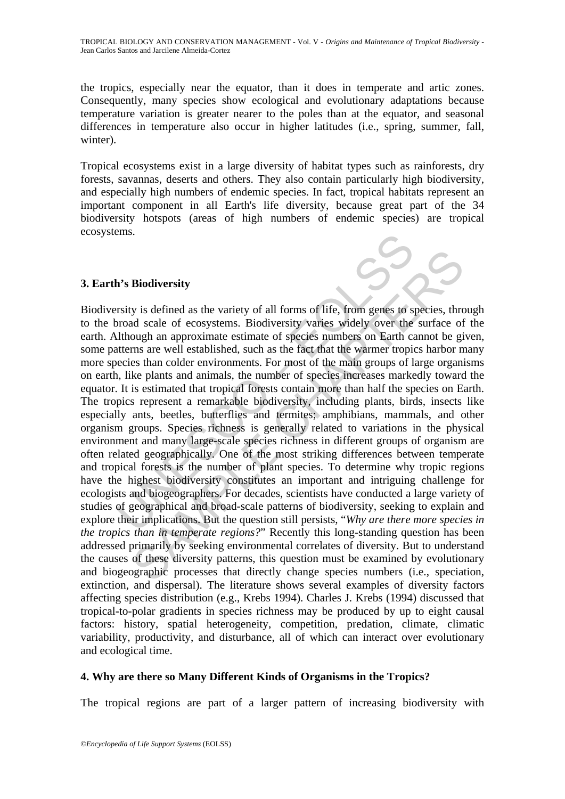TROPICAL BIOLOGY AND CONSERVATION MANAGEMENT - Vol. V - *Origins and Maintenance of Tropical Biodiversity* - Jean Carlos Santos and Jarcilene Almeida-Cortez

the tropics, especially near the equator, than it does in temperate and artic zones. Consequently, many species show ecological and evolutionary adaptations because temperature variation is greater nearer to the poles than at the equator, and seasonal differences in temperature also occur in higher latitudes (i.e., spring, summer, fall, winter).

Tropical ecosystems exist in a large diversity of habitat types such as rainforests, dry forests, savannas, deserts and others. They also contain particularly high biodiversity, and especially high numbers of endemic species. In fact, tropical habitats represent an important component in all Earth's life diversity, because great part of the 34 biodiversity hotspots (areas of high numbers of endemic species) are tropical ecosystems.

### **3. Earth's Biodiversity**

This.<br>
This.<br>
This is defined as the variety of all forms of life, from genes to sproad scale of ecosystems. Biodiversity varies widely over the lilthough an approximate estimate of species numbers on Earth catterns are we **Biodiversity**<br> **Biodiversity**<br>
y is defined as the variety of all forms of life, from genes to species, three acough an approximate estimate of species muches a widely over the surface of ough an approximate estimate of Biodiversity is defined as the variety of all forms of life, from genes to species, through to the broad scale of ecosystems. Biodiversity varies widely over the surface of the earth. Although an approximate estimate of species numbers on Earth cannot be given, some patterns are well established, such as the fact that the warmer tropics harbor many more species than colder environments. For most of the main groups of large organisms on earth, like plants and animals, the number of species increases markedly toward the equator. It is estimated that tropical forests contain more than half the species on Earth. The tropics represent a remarkable biodiversity, including plants, birds, insects like especially ants, beetles, butterflies and termites; amphibians, mammals, and other organism groups. Species richness is generally related to variations in the physical environment and many large-scale species richness in different groups of organism are often related geographically. One of the most striking differences between temperate and tropical forests is the number of plant species. To determine why tropic regions have the highest biodiversity constitutes an important and intriguing challenge for ecologists and biogeographers. For decades, scientists have conducted a large variety of studies of geographical and broad-scale patterns of biodiversity, seeking to explain and explore their implications. But the question still persists, "*Why are there more species in the tropics than in temperate regions?*" Recently this long-standing question has been addressed primarily by seeking environmental correlates of diversity. But to understand the causes of these diversity patterns, this question must be examined by evolutionary and biogeographic processes that directly change species numbers (i.e., speciation, extinction, and dispersal). The literature shows several examples of diversity factors affecting species distribution (e.g., Krebs 1994). Charles J. Krebs (1994) discussed that tropical-to-polar gradients in species richness may be produced by up to eight causal factors: history, spatial heterogeneity, competition, predation, climate, climatic variability, productivity, and disturbance, all of which can interact over evolutionary and ecological time.

## **4. Why are there so Many Different Kinds of Organisms in the Tropics?**

The tropical regions are part of a larger pattern of increasing biodiversity with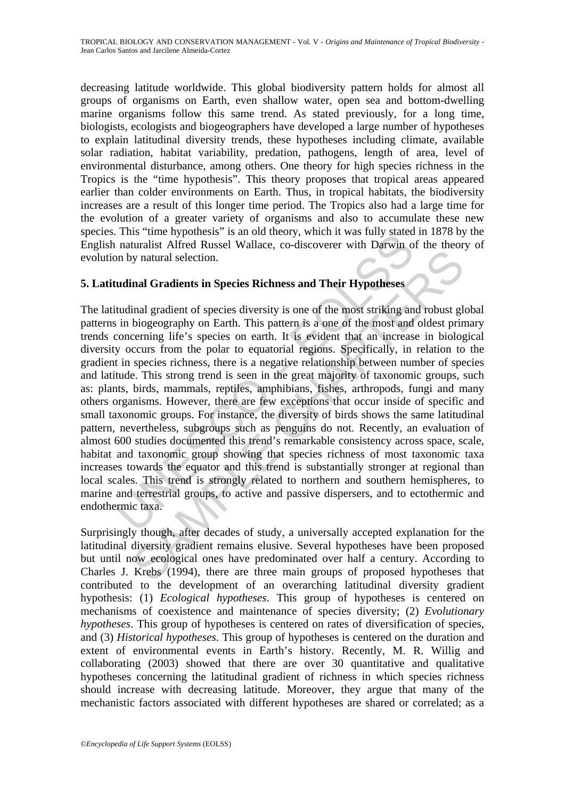decreasing latitude worldwide. This global biodiversity pattern holds for almost all groups of organisms on Earth, even shallow water, open sea and bottom-dwelling marine organisms follow this same trend. As stated previously, for a long time, biologists, ecologists and biogeographers have developed a large number of hypotheses to explain latitudinal diversity trends, these hypotheses including climate, available solar radiation, habitat variability, predation, pathogens, length of area, level of environmental disturbance, among others. One theory for high species richness in the Tropics is the "time hypothesis". This theory proposes that tropical areas appeared earlier than colder environments on Earth. Thus, in tropical habitats, the biodiversity increases are a result of this longer time period. The Tropics also had a large time for the evolution of a greater variety of organisms and also to accumulate these new species. This "time hypothesis" is an old theory, which it was fully stated in 1878 by the English naturalist Alfred Russel Wallace, co-discoverer with Darwin of the theory of evolution by natural selection.

## **5. Latitudinal Gradients in Species Richness and Their Hypotheses**

This time in ypothesis is an old meday, winch it was timy stated<br>naturalist Alfred Russel Wallace, co-discoverer with Darwin o<br>n by natural selection.<br>udinal Gradients in Species Richness and Their Hypotheses<br>tudinal gradi by natural selection.<br>
inal Gradients in Species Richness and Their Hypotheses<br>
inal gradient of species diversity is one of the most striking and robust gl<br>
biogeography on Earth. This pattern is a one of the most and old The latitudinal gradient of species diversity is one of the most striking and robust global patterns in biogeography on Earth. This pattern is a one of the most and oldest primary trends concerning life's species on earth. It is evident that an increase in biological diversity occurs from the polar to equatorial regions. Specifically, in relation to the gradient in species richness, there is a negative relationship between number of species and latitude. This strong trend is seen in the great majority of taxonomic groups, such as: plants, birds, mammals, reptiles, amphibians, fishes, arthropods, fungi and many others organisms. However, there are few exceptions that occur inside of specific and small taxonomic groups. For instance, the diversity of birds shows the same latitudinal pattern, nevertheless, subgroups such as penguins do not. Recently, an evaluation of almost 600 studies documented this trend's remarkable consistency across space, scale, habitat and taxonomic group showing that species richness of most taxonomic taxa increases towards the equator and this trend is substantially stronger at regional than local scales. This trend is strongly related to northern and southern hemispheres, to marine and terrestrial groups, to active and passive dispersers, and to ectothermic and endothermic taxa.

Surprisingly though, after decades of study, a universally accepted explanation for the latitudinal diversity gradient remains elusive. Several hypotheses have been proposed but until now ecological ones have predominated over half a century. According to Charles J. Krebs (1994), there are three main groups of proposed hypotheses that contributed to the development of an overarching latitudinal diversity gradient hypothesis: (1) *Ecological hypotheses*. This group of hypotheses is centered on mechanisms of coexistence and maintenance of species diversity; (2) *Evolutionary hypotheses*. This group of hypotheses is centered on rates of diversification of species, and (3) *Historical hypotheses*. This group of hypotheses is centered on the duration and extent of environmental events in Earth's history. Recently, M. R. Willig and collaborating (2003) showed that there are over 30 quantitative and qualitative hypotheses concerning the latitudinal gradient of richness in which species richness should increase with decreasing latitude. Moreover, they argue that many of the mechanistic factors associated with different hypotheses are shared or correlated; as a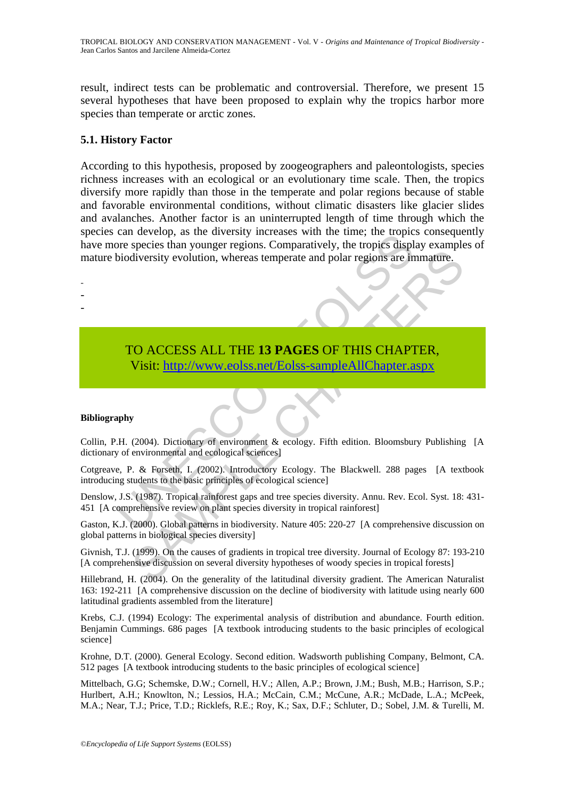result, indirect tests can be problematic and controversial. Therefore, we present 15 several hypotheses that have been proposed to explain why the tropics harbor more species than temperate or arctic zones.

### **5.1. History Factor**

Call develop, as the diversity incleases with the lime, the topics<br>ore species than younger regions. Comparatively, the tropics displ<br>biodiversity evolution, whereas temperate and polar regions are in<br>biodiversity evolutio According to this hypothesis, proposed by zoogeographers and paleontologists, species richness increases with an ecological or an evolutionary time scale. Then, the tropics diversify more rapidly than those in the temperate and polar regions because of stable and favorable environmental conditions, without climatic disasters like glacier slides and avalanches. Another factor is an uninterrupted length of time through which the species can develop, as the diversity increases with the time; the tropics consequently have more species than younger regions. Comparatively, the tropics display examples of mature biodiversity evolution, whereas temperate and polar regions are immature.

# Francescore and polar regions are immature.<br>
The C[HAPT](https://www.eolss.net/ebooklib/sc_cart.aspx?File=E6-142-TE-20)ER,<br>
The CHAPTER, Visit: http://www.colss.net/Eolss-sampleAllChapter.aspx<br>
SAMPLER,<br>
The CHAPTER,<br>
SAMPLE CHAPTER,<br>
The CHAPTER,<br>
Ca004). Dictionary of environment & ec TO ACCESS ALL THE **13 PAGES** OF THIS CHAPTER, Visit: http://www.eolss.net/Eolss-sampleAllChapter.aspx

### **Bibliography**

- - -

Collin, P.H. (2004). Dictionary of environment & ecology. Fifth edition. Bloomsbury Publishing [A dictionary of environmental and ecological sciences]

Cotgreave, P. & Forseth, I. (2002). Introductory Ecology. The Blackwell. 288 pages [A textbook introducing students to the basic principles of ecological science]

Denslow, J.S. (1987). Tropical rainforest gaps and tree species diversity. Annu. Rev. Ecol. Syst. 18: 431- 451 [A comprehensive review on plant species diversity in tropical rainforest]

Gaston, K.J. (2000). Global patterns in biodiversity. Nature 405: 220-27 [A comprehensive discussion on global patterns in biological species diversity]

Givnish, T.J. (1999). On the causes of gradients in tropical tree diversity. Journal of Ecology 87: 193-210 [A comprehensive discussion on several diversity hypotheses of woody species in tropical forests]

Hillebrand, H. (2004). On the generality of the latitudinal diversity gradient. The American Naturalist 163: 192-211 [A comprehensive discussion on the decline of biodiversity with latitude using nearly 600 latitudinal gradients assembled from the literature]

Krebs, C.J. (1994) Ecology: The experimental analysis of distribution and abundance. Fourth edition. Benjamin Cummings. 686 pages [A textbook introducing students to the basic principles of ecological science]

Krohne, D.T. (2000). General Ecology. Second edition. Wadsworth publishing Company, Belmont, CA. 512 pages [A textbook introducing students to the basic principles of ecological science]

Mittelbach, G.G; Schemske, D.W.; Cornell, H.V.; Allen, A.P.; Brown, J.M.; Bush, M.B.; Harrison, S.P.; Hurlbert, A.H.; Knowlton, N.; Lessios, H.A.; McCain, C.M.; McCune, A.R.; McDade, L.A.; McPeek, M.A.; Near, T.J.; Price, T.D.; Ricklefs, R.E.; Roy, K.; Sax, D.F.; Schluter, D.; Sobel, J.M. & Turelli, M.